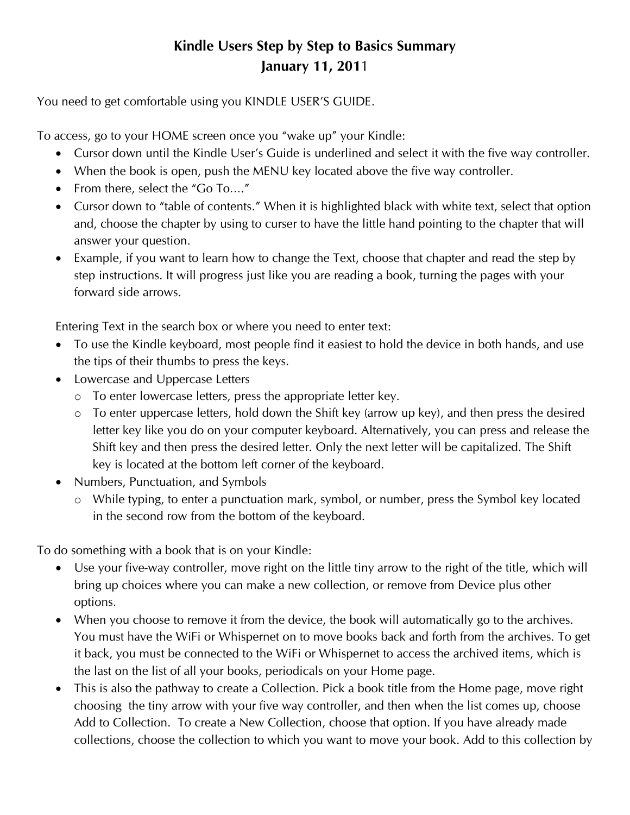## **Kindle Users Step by Step to Basics Summary January 11, 201**1

You need to get comfortable using you KINDLE USER'S GUIDE.

To access, go to your HOME screen once you "wake up" your Kindle:

- Cursor down until the Kindle User's Guide is underlined and select it with the five way controller.
- When the book is open, push the MENU key located above the five way controller.
- From there, select the "Go To...."
- Cursor down to "table of contents." When it is highlighted black with white text, select that option and, choose the chapter by using to curser to have the little hand pointing to the chapter that will answer your question.
- Example, if you want to learn how to change the Text, choose that chapter and read the step by step instructions. It will progress just like you are reading a book, turning the pages with your forward side arrows.

Entering Text in the search box or where you need to enter text:

- To use the Kindle keyboard, most people find it easiest to hold the device in both hands, and use the tips of their thumbs to press the keys.
- Lowercase and Uppercase Letters
	- o To enter lowercase letters, press the appropriate letter key.
	- o To enter uppercase letters, hold down the Shift key (arrow up key), and then press the desired letter key like you do on your computer keyboard. Alternatively, you can press and release the Shift key and then press the desired letter. Only the next letter will be capitalized. The Shift key is located at the bottom left corner of the keyboard.
- Numbers, Punctuation, and Symbols
	- o While typing, to enter a punctuation mark, symbol, or number, press the Symbol key located in the second row from the bottom of the keyboard.

To do something with a book that is on your Kindle:

- Use your five-way controller, move right on the little tiny arrow to the right of the title, which will bring up choices where you can make a new collection, or remove from Device plus other options.
- When you choose to remove it from the device, the book will automatically go to the archives. You must have the WiFi or Whispernet on to move books back and forth from the archives. To get it back, you must be connected to the WiFi or Whispernet to access the archived items, which is the last on the list of all your books, periodicals on your Home page.
- This is also the pathway to create a Collection. Pick a book title from the Home page, move right choosing the tiny arrow with your five way controller, and then when the list comes up, choose Add to Collection. To create a New Collection, choose that option. If you have already made collections, choose the collection to which you want to move your book. Add to this collection by